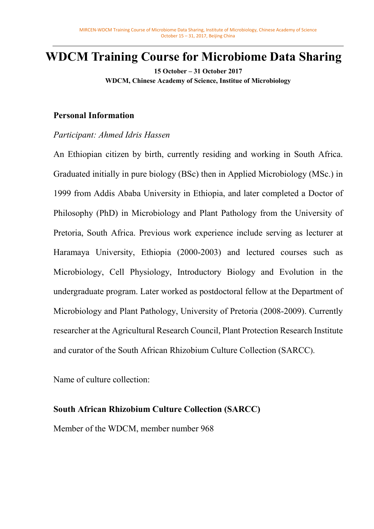# **WDCM Training Course for Microbiome Data Sharing**

**15 October – 31 October 2017 WDCM, Chinese Academy of Science, Institue of Microbiology**

### **Personal Information**

### *Participant: Ahmed Idris Hassen*

An Ethiopian citizen by birth, currently residing and working in South Africa. Graduated initially in pure biology (BSc) then in Applied Microbiology (MSc.) in 1999 from Addis Ababa University in Ethiopia, and later completed a Doctor of Philosophy (PhD) in Microbiology and Plant Pathology from the University of Pretoria, South Africa. Previous work experience include serving as lecturer at Haramaya University, Ethiopia (2000-2003) and lectured courses such as Microbiology, Cell Physiology, Introductory Biology and Evolution in the undergraduate program. Later worked as postdoctoral fellow at the Department of Microbiology and Plant Pathology, University of Pretoria (2008-2009). Currently researcher at the Agricultural Research Council, Plant Protection Research Institute and curator of the South African Rhizobium Culture Collection (SARCC).

Name of culture collection:

## **South African Rhizobium Culture Collection (SARCC)**

Member of the WDCM, member number 968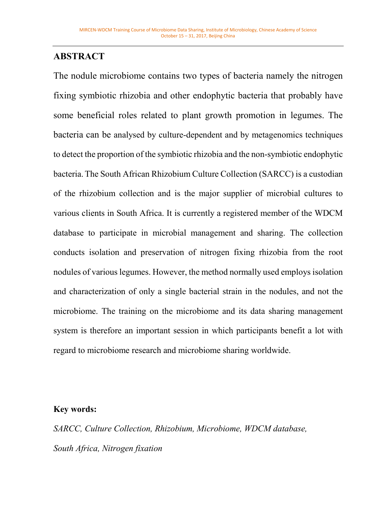## **ABSTRACT**

The nodule microbiome contains two types of bacteria namely the nitrogen fixing symbiotic rhizobia and other endophytic bacteria that probably have some beneficial roles related to plant growth promotion in legumes. The bacteria can be analysed by culture-dependent and by metagenomics techniques to detect the proportion of the symbiotic rhizobia and the non-symbiotic endophytic bacteria.The South African Rhizobium Culture Collection (SARCC) is a custodian of the rhizobium collection and is the major supplier of microbial cultures to various clients in South Africa. It is currently a registered member of the WDCM database to participate in microbial management and sharing. The collection conducts isolation and preservation of nitrogen fixing rhizobia from the root nodules of various legumes. However, the method normally used employs isolation and characterization of only a single bacterial strain in the nodules, and not the microbiome. The training on the microbiome and its data sharing management system is therefore an important session in which participants benefit a lot with regard to microbiome research and microbiome sharing worldwide.

### **Key words:**

*SARCC, Culture Collection, Rhizobium, Microbiome, WDCM database, South Africa, Nitrogen fixation*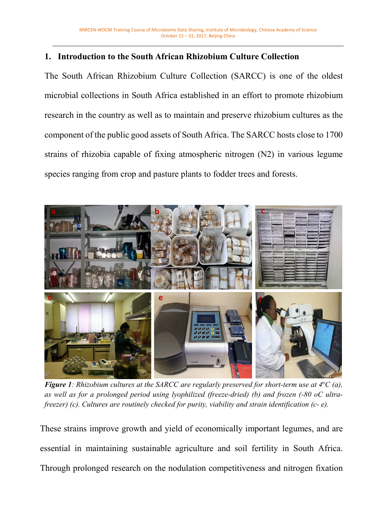### **1. Introduction to the South African Rhizobium Culture Collection**

The South African Rhizobium Culture Collection (SARCC) is one of the oldest microbial collections in South Africa established in an effort to promote rhizobium research in the country as well as to maintain and preserve rhizobium cultures as the component of the public good assets of South Africa. The SARCC hosts close to 1700 strains of rhizobia capable of fixing atmospheric nitrogen (N2) in various legume species ranging from crop and pasture plants to fodder trees and forests.



*Figure 1: Rhizobium cultures at the SARCC are regularly preserved for short-term use at 4<sup>o</sup><i>C* (a), *as well as for a prolonged period using lyophilized (freeze-dried) (b) and frozen (-80 oC ultrafreezer) (c). Cultures are routinely checked for purity, viability and strain identification (c- e).* 

These strains improve growth and yield of economically important legumes, and are essential in maintaining sustainable agriculture and soil fertility in South Africa. Through prolonged research on the nodulation competitiveness and nitrogen fixation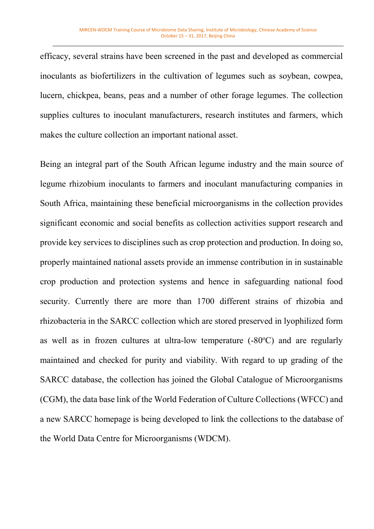efficacy, several strains have been screened in the past and developed as commercial inoculants as biofertilizers in the cultivation of legumes such as soybean, cowpea, lucern, chickpea, beans, peas and a number of other forage legumes. The collection supplies cultures to inoculant manufacturers, research institutes and farmers, which makes the culture collection an important national asset.

Being an integral part of the South African legume industry and the main source of legume rhizobium inoculants to farmers and inoculant manufacturing companies in South Africa, maintaining these beneficial microorganisms in the collection provides significant economic and social benefits as collection activities support research and provide key services to disciplines such as crop protection and production. In doing so, properly maintained national assets provide an immense contribution in in sustainable crop production and protection systems and hence in safeguarding national food security. Currently there are more than 1700 different strains of rhizobia and rhizobacteria in the SARCC collection which are stored preserved in lyophilized form as well as in frozen cultures at ultra-low temperature  $(-80^{\circ}C)$  and are regularly maintained and checked for purity and viability. With regard to up grading of the SARCC database, the collection has joined the Global Catalogue of Microorganisms (CGM), the data base link of the World Federation of Culture Collections (WFCC) and a new SARCC homepage is being developed to link the collections to the database of the World Data Centre for Microorganisms (WDCM).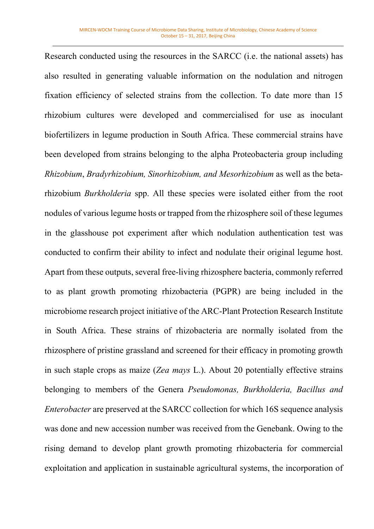Research conducted using the resources in the SARCC (i.e. the national assets) has also resulted in generating valuable information on the nodulation and nitrogen fixation efficiency of selected strains from the collection. To date more than 15 rhizobium cultures were developed and commercialised for use as inoculant biofertilizers in legume production in South Africa. These commercial strains have been developed from strains belonging to the alpha Proteobacteria group including *Rhizobium*, *Bradyrhizobium, Sinorhizobium, and Mesorhizobium* as well as the betarhizobium *Burkholderia* spp. All these species were isolated either from the root nodules of various legume hosts or trapped from the rhizosphere soil of these legumes in the glasshouse pot experiment after which nodulation authentication test was conducted to confirm their ability to infect and nodulate their original legume host. Apart from these outputs, several free-living rhizosphere bacteria, commonly referred to as plant growth promoting rhizobacteria (PGPR) are being included in the microbiome research project initiative of the ARC-Plant Protection Research Institute in South Africa. These strains of rhizobacteria are normally isolated from the rhizosphere of pristine grassland and screened for their efficacy in promoting growth in such staple crops as maize (*Zea mays* L.). About 20 potentially effective strains belonging to members of the Genera *Pseudomonas, Burkholderia, Bacillus and Enterobacter* are preserved at the SARCC collection for which 16S sequence analysis was done and new accession number was received from the Genebank. Owing to the rising demand to develop plant growth promoting rhizobacteria for commercial exploitation and application in sustainable agricultural systems, the incorporation of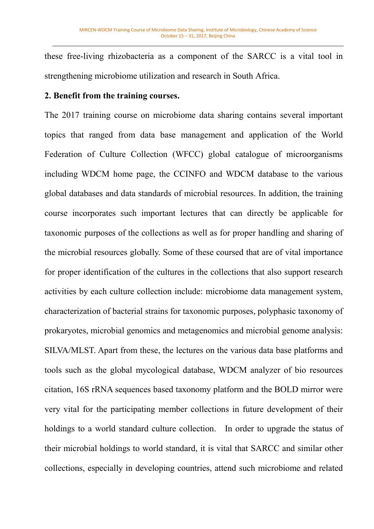these free-living rhizobacteria as a component of the SARCC is a vital tool in strengthening microbiome utilization and research in South Africa.

### **2. Benefit from the training courses.**

The 2017 training course on microbiome data sharing contains several important topics that ranged from data base management and application of the World Federation of Culture Collection (WFCC) global catalogue of microorganisms including WDCM home page, the CCINFO and WDCM database to the various global databases and data standards of microbial resources. In addition, the training course incorporates such important lectures that can directly be applicable for taxonomic purposes of the collections as well as for proper handling and sharing of the microbial resources globally. Some of these coursed that are of vital importance for proper identification of the cultures in the collections that also support research activities by each culture collection include: microbiome data management system, characterization of bacterial strains for taxonomic purposes, polyphasic taxonomy of prokaryotes, microbial genomics and metagenomics and microbial genome analysis: SILVA/MLST. Apart from these, the lectures on the various data base platforms and tools such as the global mycological database, WDCM analyzer of bio resources citation, 16S rRNA sequences based taxonomy platform and the BOLD mirror were very vital for the participating member collections in future development of their holdings to a world standard culture collection. In order to upgrade the status of their microbial holdings to world standard, it is vital that SARCC and similar other collections, especially in developing countries, attend such microbiome and related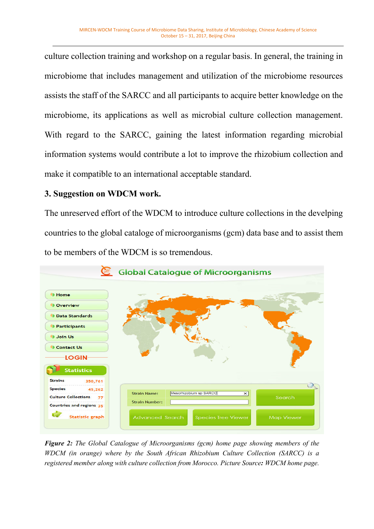culture collection training and workshop on a regular basis. In general, the training in microbiome that includes management and utilization of the microbiome resources assists the staff of the SARCC and all participants to acquire better knowledge on the microbiome, its applications as well as microbial culture collection management. With regard to the SARCC, gaining the latest information regarding microbial information systems would contribute a lot to improve the rhizobium collection and make it compatible to an international acceptable standard.

### **3. Suggestion on WDCM work.**

The unreserved effort of the WDCM to introduce culture collections in the develping countries to the global cataloge of microorganisms (gcm) data base and to assist them to be members of the WDCM is so tremendous.



*Figure 2: The Global Catalogue of Microorganisms (gcm) home page showing members of the WDCM (in orange) where by the South African Rhizobium Culture Collection (SARCC) is a registered member along with culture collection from Morocco. Picture Source: WDCM home page.*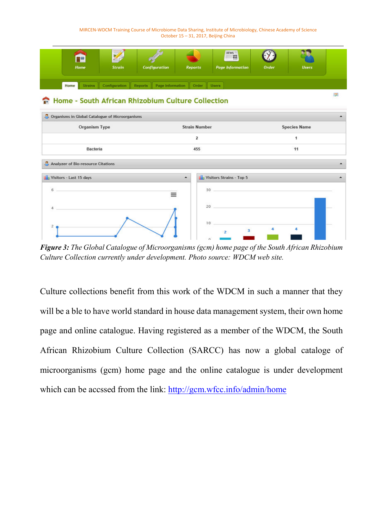MIRCEN-WDCM Training Course of Microbiome Data Sharing, Institute of Microbiology, Chinese Academy of Science October 15 – 31, 2017, Beijing China



#### Home - South African Rhizobium Culture Collection



*Figure 3: The Global Catalogue of Microorganisms (gcm) home page of the South African Rhizobium Culture Collection currently under development. Photo source: WDCM web site.* 

Culture collections benefit from this work of the WDCM in such a manner that they will be a ble to have world standard in house data management system, their own home page and online catalogue. Having registered as a member of the WDCM, the South African Rhizobium Culture Collection (SARCC) has now a global cataloge of microorganisms (gcm) home page and the online catalogue is under development which can be accssed from the link: http://gcm.wfcc.info/admin/home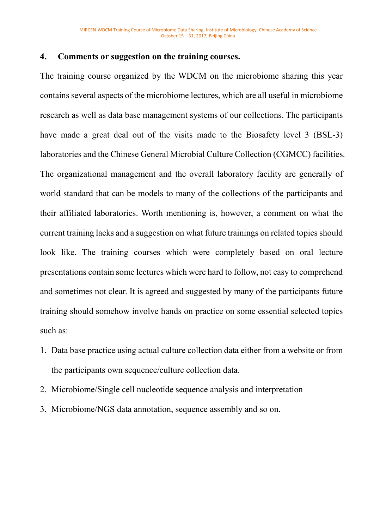#### **4. Comments or suggestion on the training courses.**

The training course organized by the WDCM on the microbiome sharing this year contains several aspects of the microbiome lectures, which are all useful in microbiome research as well as data base management systems of our collections. The participants have made a great deal out of the visits made to the Biosafety level 3 (BSL-3) laboratories and the Chinese General Microbial Culture Collection (CGMCC) facilities. The organizational management and the overall laboratory facility are generally of world standard that can be models to many of the collections of the participants and their affiliated laboratories. Worth mentioning is, however, a comment on what the current training lacks and a suggestion on what future trainings on related topics should look like. The training courses which were completely based on oral lecture presentations contain some lectures which were hard to follow, not easy to comprehend and sometimes not clear. It is agreed and suggested by many of the participants future training should somehow involve hands on practice on some essential selected topics such as:

- 1. Data base practice using actual culture collection data either from a website or from the participants own sequence/culture collection data.
- 2. Microbiome/Single cell nucleotide sequence analysis and interpretation
- 3. Microbiome/NGS data annotation, sequence assembly and so on.